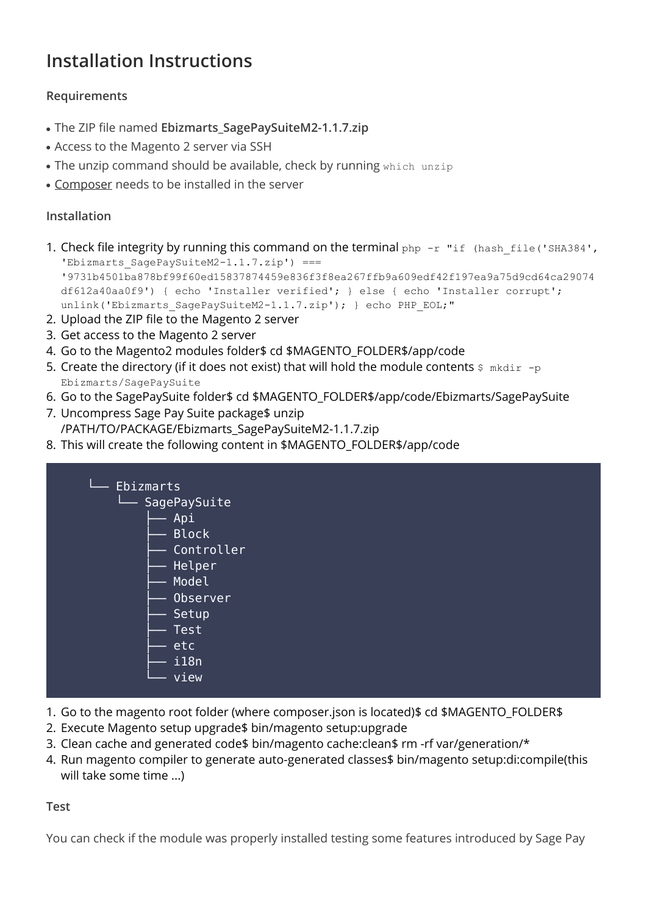## **Installation Instructions**

## **Requirements**

- The ZIP file named **Ebizmarts SagePaySuiteM2-1.1.7.zip**
- Access to the Magento 2 server via SSH
- The unzip command should be available, check by running which unzip
- [Composer](https://getcomposer.org/) needs to be installed in the server

## **Installation**

- 1. Check file integrity by running this command on the terminal php -r "if (hash file('SHA384', 'Ebizmarts SagePaySuiteM2-1.1.7.zip') === '9731b4501ba878bf99f60ed15837874459e836f3f8ea267ffb9a609edf42f197ea9a75d9cd64ca29074 df612a40aa0f9') { echo 'Installer verified'; } else { echo 'Installer corrupt'; unlink('Ebizmarts SagePaySuiteM2-1.1.7.zip'); } echo PHP EOL;"
- 2. Upload the ZIP file to the Magento 2 server
- 3. Get access to the Magento 2 server
- 4. Go to the Magento2 modules folder\$ cd \$MAGENTO\_FOLDER\$/app/code
- 5. Create the directory (if it does not exist) that will hold the module contents  $\frac{1}{2}$  mkdir -p Ebizmarts/SagePaySuite
- 6. Go to the SagePaySuite folder\$ cd \$MAGENTO\_FOLDER\$/app/code/Ebizmarts/SagePaySuite
- 7. Uncompress Sage Pay Suite package\$ unzip /PATH/TO/PACKAGE/Ebizmarts\_SagePaySuiteM2-1.1.7.zip
- 8. This will create the following content in \$MAGENTO\_FOLDER\$/app/code

| ∟<br>Ebizmarts |  |
|----------------|--|
|                |  |
| └ SagePaySuite |  |
| Api            |  |
| <b>Block</b>   |  |
| Controller     |  |
| Helper         |  |
| Model          |  |
| Observer       |  |
| Setup          |  |
| Test           |  |
| etc            |  |
| i18n           |  |
| view           |  |
|                |  |

- 1. Go to the magento root folder (where composer.json is located)\$ cd \$MAGENTO\_FOLDER\$
- 2. Execute Magento setup upgrade\$ bin/magento setup:upgrade
- 3. Clean cache and generated code\$ bin/magento cache:clean\$ rm -rf var/generation/\*
- 4. Run magento compiler to generate auto-generated classes\$ bin/magento setup:di:compile(this will take some time ...)

**Test**

You can check if the module was properly installed testing some features introduced by Sage Pay